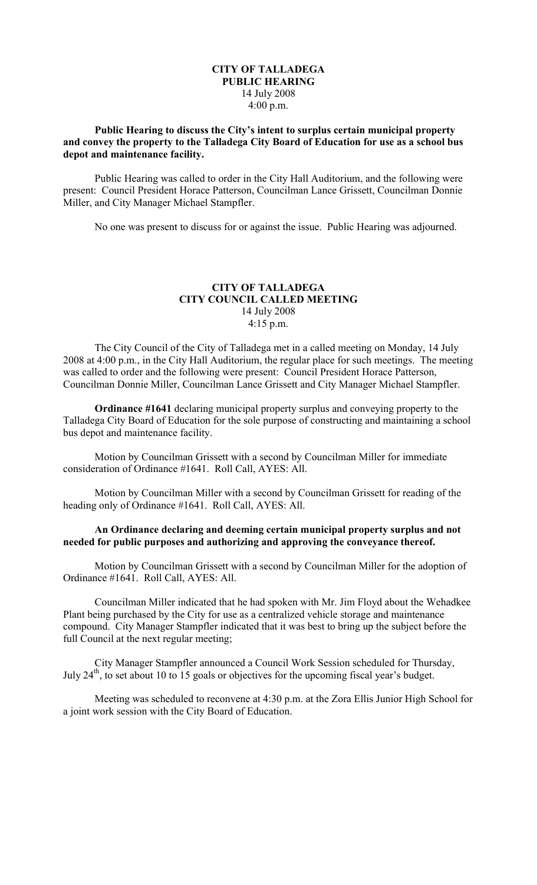## **CITY OF TALLADEGA PUBLIC HEARING** 14 July 2008 4:00 p.m.

## **Public Hearing to discuss the City's intent to surplus certain municipal property and convey the property to the Talladega City Board of Education for use as a school bus depot and maintenance facility.**

Public Hearing was called to order in the City Hall Auditorium, and the following were present: Council President Horace Patterson, Councilman Lance Grissett, Councilman Donnie Miller, and City Manager Michael Stampfler.

No one was present to discuss for or against the issue. Public Hearing was adjourned.

# **CITY OF TALLADEGA CITY COUNCIL CALLED MEETING** 14 July 2008 4:15 p.m.

The City Council of the City of Talladega met in a called meeting on Monday, 14 July 2008 at 4:00 p.m., in the City Hall Auditorium, the regular place for such meetings. The meeting was called to order and the following were present: Council President Horace Patterson, Councilman Donnie Miller, Councilman Lance Grissett and City Manager Michael Stampfler.

**Ordinance #1641** declaring municipal property surplus and conveying property to the Talladega City Board of Education for the sole purpose of constructing and maintaining a school bus depot and maintenance facility.

Motion by Councilman Grissett with a second by Councilman Miller for immediate consideration of Ordinance #1641. Roll Call, AYES: All.

Motion by Councilman Miller with a second by Councilman Grissett for reading of the heading only of Ordinance #1641. Roll Call, AYES: All.

### **An Ordinance declaring and deeming certain municipal property surplus and not needed for public purposes and authorizing and approving the conveyance thereof.**

Motion by Councilman Grissett with a second by Councilman Miller for the adoption of Ordinance #1641. Roll Call, AYES: All.

Councilman Miller indicated that he had spoken with Mr. Jim Floyd about the Wehadkee Plant being purchased by the City for use as a centralized vehicle storage and maintenance compound. City Manager Stampfler indicated that it was best to bring up the subject before the full Council at the next regular meeting;

City Manager Stampfler announced a Council Work Session scheduled for Thursday, July 24<sup>th</sup>, to set about 10 to 15 goals or objectives for the upcoming fiscal year's budget.

Meeting was scheduled to reconvene at 4:30 p.m. at the Zora Ellis Junior High School for a joint work session with the City Board of Education.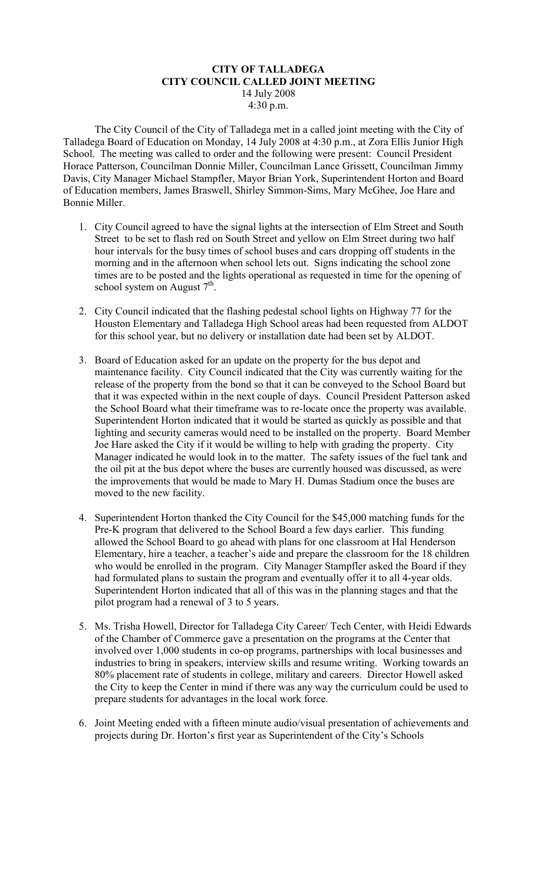#### **CITY OF TALLADEGA CITY COUNCIL CALLED JOINT MEETING** 14 July 2008 4:30 p.m.

The City Council of the City of Talladega met in a called joint meeting with the City of Talladega Board of Education on Monday, 14 July 2008 at 4:30 p.m., at Zora Ellis Junior High School. The meeting was called to order and the following were present: Council President Horace Patterson, Councilman Donnie Miller, Councilman Lance Grissett, Councilman Jimmy Davis, City Manager Michael Stampfler, Mayor Brian York, Superintendent Horton and Board of Education members, James Braswell, Shirley Simmon-Sims, Mary McGhee, Joe Hare and Bonnie Miller.

- 1. City Council agreed to have the signal lights at the intersection of Elm Street and South Street to be set to flash red on South Street and yellow on Elm Street during two half hour intervals for the busy times of school buses and cars dropping off students in the morning and in the afternoon when school lets out. Signs indicating the school zone times are to be posted and the lights operational as requested in time for the opening of school system on August  $7<sup>th</sup>$ .
- 2. City Council indicated that the flashing pedestal school lights on Highway 77 for the Houston Elementary and Talladega High School areas had been requested from ALDOT for this school year, but no delivery or installation date had been set by ALDOT.
- 3. Board of Education asked for an update on the property for the bus depot and maintenance facility. City Council indicated that the City was currently waiting for the release of the property from the bond so that it can be conveyed to the School Board but that it was expected within in the next couple of days. Council President Patterson asked the School Board what their timeframe was to re-locate once the property was available. Superintendent Horton indicated that it would be started as quickly as possible and that lighting and security cameras would need to be installed on the property. Board Member Joe Hare asked the City if it would be willing to help with grading the property. City Manager indicated he would look in to the matter. The safety issues of the fuel tank and the oil pit at the bus depot where the buses are currently housed was discussed, as were the improvements that would be made to Mary H. Dumas Stadium once the buses are moved to the new facility.
- 4. Superintendent Horton thanked the City Council for the \$45,000 matching funds for the Pre-K program that delivered to the School Board a few days earlier. This funding allowed the School Board to go ahead with plans for one classroom at Hal Henderson Elementary, hire a teacher, a teacher's aide and prepare the classroom for the 18 children who would be enrolled in the program. City Manager Stampfler asked the Board if they had formulated plans to sustain the program and eventually offer it to all 4-year olds. Superintendent Horton indicated that all of this was in the planning stages and that the pilot program had a renewal of 3 to 5 years.
- 5. Ms. Trisha Howell, Director for Talladega City Career/ Tech Center, with Heidi Edwards of the Chamber of Commerce gave a presentation on the programs at the Center that involved over 1,000 students in co-op programs, partnerships with local businesses and industries to bring in speakers, interview skills and resume writing. Working towards an 80% placement rate of students in college, military and careers. Director Howell asked the City to keep the Center in mind if there was any way the curriculum could be used to prepare students for advantages in the local work force.
- 6. Joint Meeting ended with a fifteen minute audio/visual presentation of achievements and projects during Dr. Horton's first year as Superintendent of the City's Schools